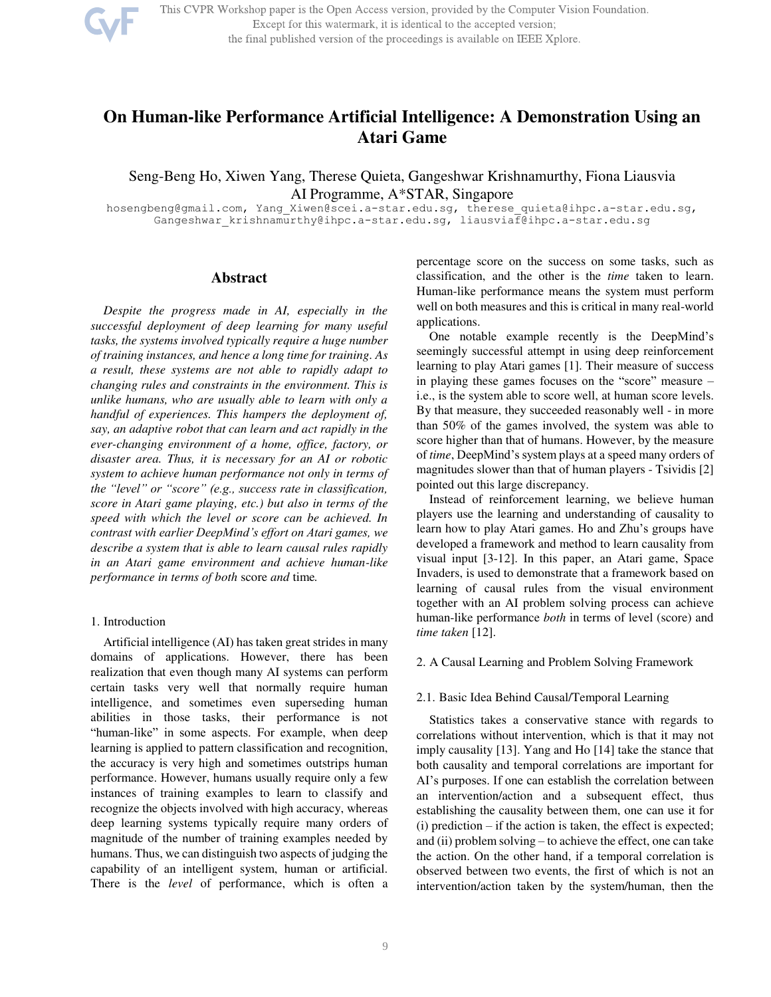

This CVPR Workshop paper is the Open Access version, provided by the Computer Vision Foundation. Except for this watermark, it is identical to the accepted version; the final published version of the proceedings is available on IEEE Xplore.

# **On Human-like Performance Artificial Intelligence: A Demonstration Using an Atari Game**

Seng-Beng Ho, Xiwen Yang, Therese Quieta, Gangeshwar Krishnamurthy, Fiona Liausvia AI Programme, A\*STAR, Singapore

[hosengbeng@gmail.com,](mailto:hosengbeng@gmail.com) [Yang\\_Xiwen@scei.a-star.edu.sg,](mailto:Yang_Xiwen@scei.a-star.edu.sg) [therese\\_quieta@ihpc.a-star.edu.sg,](mailto:therese_quieta@ihpc.a-star.edu.sg) [Gangeshwar\\_krishnamurthy@ihpc.a-star.edu.sg,](mailto:Gangeshwar_krishnamurthy@ihpc.a-star.edu.sg) liausviaf@ihpc.a-star.edu.sg

## **Abstract**

*Despite the progress made in AI, especially in the successful deployment of deep learning for many useful tasks, the systems involved typically require a huge number of training instances, and hence a long time for training. As a result, these systems are not able to rapidly adapt to changing rules and constraints in the environment. This is unlike humans, who are usually able to learn with only a handful of experiences. This hampers the deployment of, say, an adaptive robot that can learn and act rapidly in the ever-changing environment of a home, office, factory, or disaster area. Thus, it is necessary for an AI or robotic system to achieve human performance not only in terms of the "level" or "score" (e.g., success rate in classification, score in Atari game playing, etc.) but also in terms of the speed with which the level or score can be achieved. In contrast with earlier DeepMind's effort on Atari games, we describe a system that is able to learn causal rules rapidly in an Atari game environment and achieve human-like performance in terms of both* score *and* time*.* 

### 1. Introduction

Artificial intelligence (AI) has taken great strides in many domains of applications. However, there has been realization that even though many AI systems can perform certain tasks very well that normally require human intelligence, and sometimes even superseding human abilities in those tasks, their performance is not "human-like" in some aspects. For example, when deep learning is applied to pattern classification and recognition, the accuracy is very high and sometimes outstrips human performance. However, humans usually require only a few instances of training examples to learn to classify and recognize the objects involved with high accuracy, whereas deep learning systems typically require many orders of magnitude of the number of training examples needed by humans. Thus, we can distinguish two aspects of judging the capability of an intelligent system, human or artificial. There is the *level* of performance, which is often a percentage score on the success on some tasks, such as classification, and the other is the *time* taken to learn. Human-like performance means the system must perform well on both measures and this is critical in many real-world applications.

One notable example recently is the DeepMind's seemingly successful attempt in using deep reinforcement learning to play Atari games [1]. Their measure of success in playing these games focuses on the "score" measure – i.e., is the system able to score well, at human score levels. By that measure, they succeeded reasonably well - in more than 50% of the games involved, the system was able to score higher than that of humans. However, by the measure of *time*, DeepMind's system plays at a speed many orders of magnitudes slower than that of human players - Tsividis [2] pointed out this large discrepancy.

Instead of reinforcement learning, we believe human players use the learning and understanding of causality to learn how to play Atari games. Ho and Zhu's groups have developed a framework and method to learn causality from visual input [3-12]. In this paper, an Atari game, Space Invaders, is used to demonstrate that a framework based on learning of causal rules from the visual environment together with an AI problem solving process can achieve human-like performance *both* in terms of level (score) and *time taken* [12].

#### 2. A Causal Learning and Problem Solving Framework

### 2.1. Basic Idea Behind Causal/Temporal Learning

Statistics takes a conservative stance with regards to correlations without intervention, which is that it may not imply causality [13]. Yang and Ho [14] take the stance that both causality and temporal correlations are important for AI's purposes. If one can establish the correlation between an intervention/action and a subsequent effect, thus establishing the causality between them, one can use it for (i) prediction – if the action is taken, the effect is expected; and (ii) problem solving – to achieve the effect, one can take the action. On the other hand, if a temporal correlation is observed between two events, the first of which is not an intervention/action taken by the system/human, then the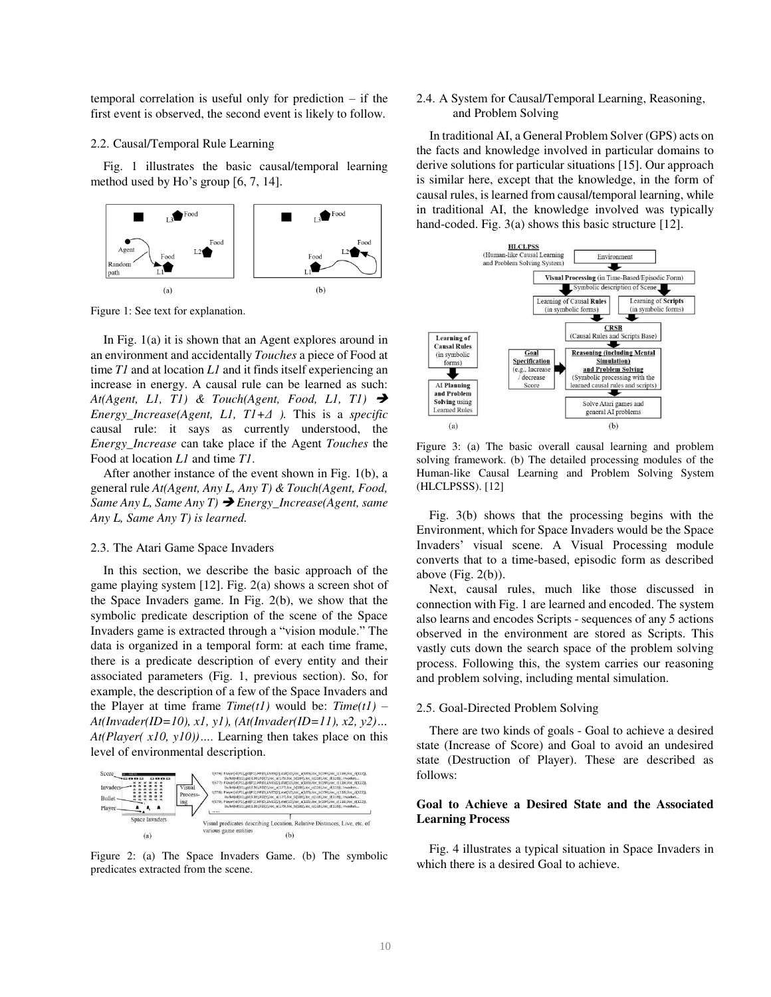temporal correlation is useful only for prediction – if the first event is observed, the second event is likely to follow.

#### 2.2. Causal/Temporal Rule Learning

Fig. 1 illustrates the basic causal/temporal learning method used by Ho's group [6, 7, 14].



Figure 1: See text for explanation.

In Fig. 1(a) it is shown that an Agent explores around in an environment and accidentally *Touches* a piece of Food at time *T1* and at location *L1* and it finds itself experiencing an increase in energy. A causal rule can be learned as such: *At*(*Agent, L1, T1*) & *Touch*(*Agent, Food, L1, T1*) → *Energy\_Increase(Agent, L1, T1+Δ ).* This is a *specific* causal rule: it says as currently understood, the *Energy\_Increase* can take place if the Agent *Touches* the Food at location *L1* and time *T1*.

After another instance of the event shown in Fig. 1(b), a general rule *At(Agent, Any L, Any T) & Touch(Agent, Food, Same Any L, Same Any T)* ➔ *Energy\_Increase(Agent, same Any L, Same Any T) is learned.* 

#### 2.3. The Atari Game Space Invaders

In this section, we describe the basic approach of the game playing system [12]. Fig. 2(a) shows a screen shot of the Space Invaders game. In Fig. 2(b), we show that the symbolic predicate description of the scene of the Space Invaders game is extracted through a "vision module." The data is organized in a temporal form: at each time frame, there is a predicate description of every entity and their associated parameters (Fig. 1, previous section). So, for example, the description of a few of the Space Invaders and the Player at time frame  $Time(t1)$  would be:  $Time(t1)$  – *At(Invader(ID=10), x1, y1), (At(Invader(ID=11), x2, y2)… At(Player( x10, y10))….* Learning then takes place on this level of environmental description.



Figure 2: (a) The Space Invaders Game. (b) The symbolic predicates extracted from the scene.

## 2.4. A System for Causal/Temporal Learning, Reasoning, and Problem Solving

In traditional AI, a General Problem Solver (GPS) acts on the facts and knowledge involved in particular domains to derive solutions for particular situations [15]. Our approach is similar here, except that the knowledge, in the form of causal rules, is learned from causal/temporal learning, while in traditional AI, the knowledge involved was typically hand-coded. Fig. 3(a) shows this basic structure [12].



Figure 3: (a) The basic overall causal learning and problem solving framework. (b) The detailed processing modules of the Human-like Causal Learning and Problem Solving System (HLCLPSSS). [12]

Fig. 3(b) shows that the processing begins with the Environment, which for Space Invaders would be the Space Invaders' visual scene. A Visual Processing module converts that to a time-based, episodic form as described above  $(Fig. 2(b))$ .

Next, causal rules, much like those discussed in connection with Fig. 1 are learned and encoded. The system also learns and encodes Scripts - sequences of any 5 actions observed in the environment are stored as Scripts. This vastly cuts down the search space of the problem solving process. Following this, the system carries our reasoning and problem solving, including mental simulation.

## 2.5. Goal-Directed Problem Solving

There are two kinds of goals - Goal to achieve a desired state (Increase of Score) and Goal to avoid an undesired state (Destruction of Player). These are described as follows:

## **Goal to Achieve a Desired State and the Associated Learning Process**

Fig. 4 illustrates a typical situation in Space Invaders in which there is a desired Goal to achieve.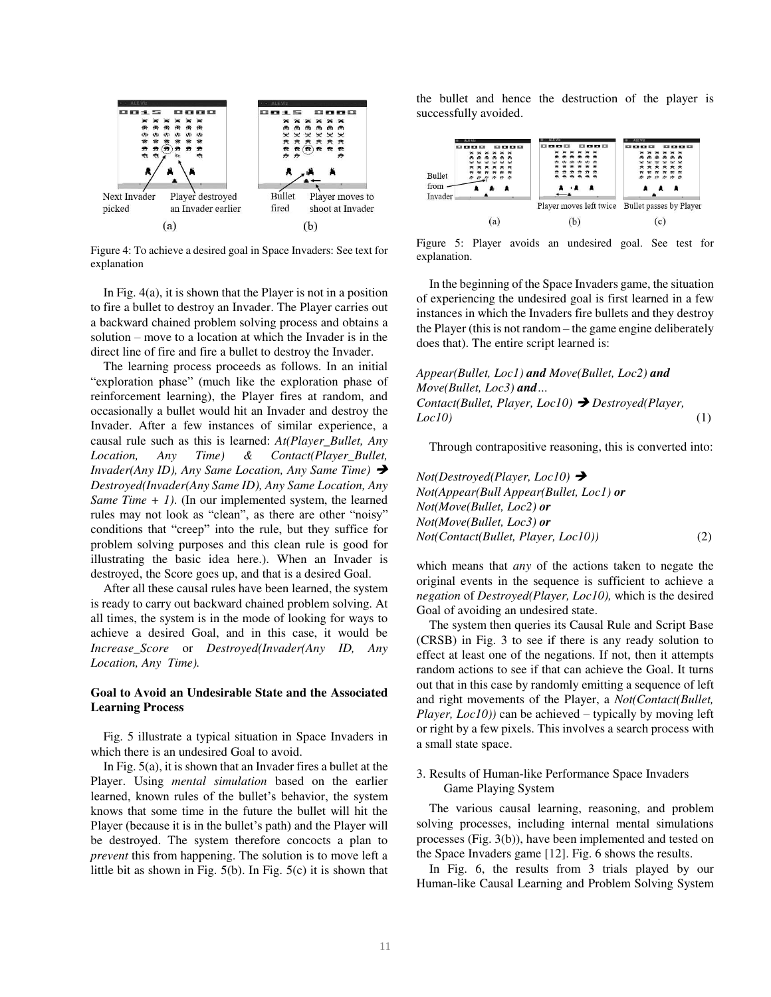

Figure 4: To achieve a desired goal in Space Invaders: See text for explanation

In Fig.  $4(a)$ , it is shown that the Player is not in a position to fire a bullet to destroy an Invader. The Player carries out a backward chained problem solving process and obtains a solution – move to a location at which the Invader is in the direct line of fire and fire a bullet to destroy the Invader.

The learning process proceeds as follows. In an initial "exploration phase" (much like the exploration phase of reinforcement learning), the Player fires at random, and occasionally a bullet would hit an Invader and destroy the Invader. After a few instances of similar experience, a causal rule such as this is learned: *At(Player\_Bullet, Any Location, Any Time) & Contact(Player\_Bullet, Invader(Any ID), Any Same Location, Any Same Time)* → *Destroyed(Invader(Any Same ID), Any Same Location, Any Same Time + 1)*. (In our implemented system, the learned rules may not look as "clean", as there are other "noisy" conditions that "creep" into the rule, but they suffice for problem solving purposes and this clean rule is good for illustrating the basic idea here.). When an Invader is destroyed, the Score goes up, and that is a desired Goal.

After all these causal rules have been learned, the system is ready to carry out backward chained problem solving. At all times, the system is in the mode of looking for ways to achieve a desired Goal, and in this case, it would be *Increase\_Score* or *Destroyed(Invader(Any ID, Any Location, Any Time).*

## **Goal to Avoid an Undesirable State and the Associated Learning Process**

Fig. 5 illustrate a typical situation in Space Invaders in which there is an undesired Goal to avoid.

In Fig. 5(a), it is shown that an Invader fires a bullet at the Player. Using *mental simulation* based on the earlier learned, known rules of the bullet's behavior, the system knows that some time in the future the bullet will hit the Player (because it is in the bullet's path) and the Player will be destroyed. The system therefore concocts a plan to *prevent* this from happening. The solution is to move left a little bit as shown in Fig. 5(b). In Fig. 5(c) it is shown that the bullet and hence the destruction of the player is successfully avoided.



Figure 5: Player avoids an undesired goal. See test for explanation.

In the beginning of the Space Invaders game, the situation of experiencing the undesired goal is first learned in a few instances in which the Invaders fire bullets and they destroy the Player (this is not random – the game engine deliberately does that). The entire script learned is:

*Appear(Bullet, Loc1) and Move(Bullet, Loc2) and Move(Bullet, Loc3) and… Contact(Bullet, Player, Loc10)* ➔ *Destroyed(Player, Loc10)* (1)

Through contrapositive reasoning, this is converted into:

*Not(Destroyed(Player, Loc10)* ➔ *Not(Appear(Bull Appear(Bullet, Loc1) or Not(Move(Bullet, Loc2) or Not(Move(Bullet, Loc3) or Not(Contact(Bullet, Player, Loc10))* (2)

which means that *any* of the actions taken to negate the original events in the sequence is sufficient to achieve a *negation* of *Destroyed(Player, Loc10),* which is the desired Goal of avoiding an undesired state.

The system then queries its Causal Rule and Script Base (CRSB) in Fig. 3 to see if there is any ready solution to effect at least one of the negations. If not, then it attempts random actions to see if that can achieve the Goal. It turns out that in this case by randomly emitting a sequence of left and right movements of the Player, a *Not(Contact(Bullet, Player, Loc10)*) can be achieved – typically by moving left or right by a few pixels. This involves a search process with a small state space.

## 3. Results of Human-like Performance Space Invaders Game Playing System

The various causal learning, reasoning, and problem solving processes, including internal mental simulations processes (Fig. 3(b)), have been implemented and tested on the Space Invaders game [12]. Fig. 6 shows the results.

 In Fig. 6, the results from 3 trials played by our Human-like Causal Learning and Problem Solving System